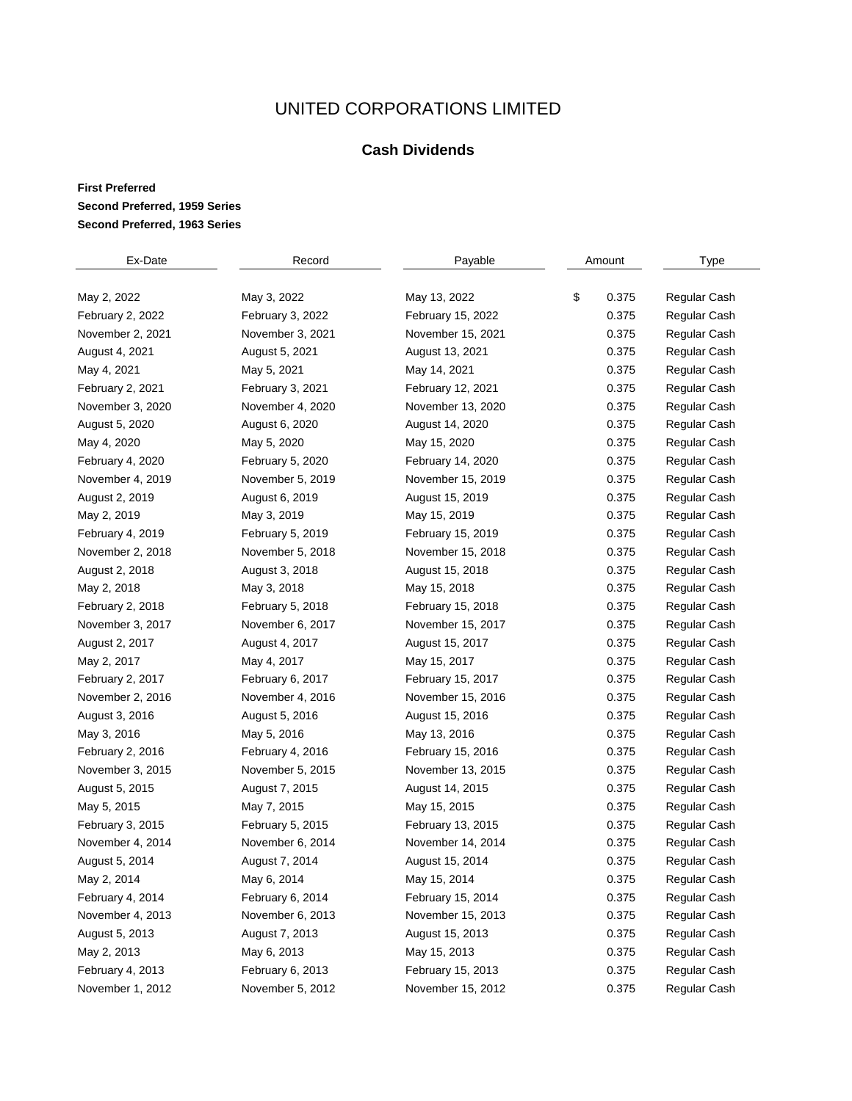## UNITED CORPORATIONS LIMITED

## **Cash Dividends**

## **First Preferred Second Preferred, 1959 Series Second Preferred, 1963 Series**

| Ex-Date          | Record           | Payable           | Amount |       | <b>Type</b>  |
|------------------|------------------|-------------------|--------|-------|--------------|
|                  |                  |                   |        |       |              |
| May 2, 2022      | May 3, 2022      | May 13, 2022      | \$     | 0.375 | Regular Cash |
| February 2, 2022 | February 3, 2022 | February 15, 2022 |        | 0.375 | Regular Cash |
| November 2, 2021 | November 3, 2021 | November 15, 2021 |        | 0.375 | Regular Cash |
| August 4, 2021   | August 5, 2021   | August 13, 2021   |        | 0.375 | Regular Cash |
| May 4, 2021      | May 5, 2021      | May 14, 2021      |        | 0.375 | Regular Cash |
| February 2, 2021 | February 3, 2021 | February 12, 2021 |        | 0.375 | Regular Cash |
| November 3, 2020 | November 4, 2020 | November 13, 2020 |        | 0.375 | Regular Cash |
| August 5, 2020   | August 6, 2020   | August 14, 2020   |        | 0.375 | Regular Cash |
| May 4, 2020      | May 5, 2020      | May 15, 2020      |        | 0.375 | Regular Cash |
| February 4, 2020 | February 5, 2020 | February 14, 2020 |        | 0.375 | Regular Cash |
| November 4, 2019 | November 5, 2019 | November 15, 2019 |        | 0.375 | Regular Cash |
| August 2, 2019   | August 6, 2019   | August 15, 2019   |        | 0.375 | Regular Cash |
| May 2, 2019      | May 3, 2019      | May 15, 2019      |        | 0.375 | Regular Cash |
| February 4, 2019 | February 5, 2019 | February 15, 2019 |        | 0.375 | Regular Cash |
| November 2, 2018 | November 5, 2018 | November 15, 2018 |        | 0.375 | Regular Cash |
| August 2, 2018   | August 3, 2018   | August 15, 2018   |        | 0.375 | Regular Cash |
| May 2, 2018      | May 3, 2018      | May 15, 2018      |        | 0.375 | Regular Cash |
| February 2, 2018 | February 5, 2018 | February 15, 2018 |        | 0.375 | Regular Cash |
| November 3, 2017 | November 6, 2017 | November 15, 2017 |        | 0.375 | Regular Cash |
| August 2, 2017   | August 4, 2017   | August 15, 2017   |        | 0.375 | Regular Cash |
| May 2, 2017      | May 4, 2017      | May 15, 2017      |        | 0.375 | Regular Cash |
| February 2, 2017 | February 6, 2017 | February 15, 2017 |        | 0.375 | Regular Cash |
| November 2, 2016 | November 4, 2016 | November 15, 2016 |        | 0.375 | Regular Cash |
| August 3, 2016   | August 5, 2016   | August 15, 2016   |        | 0.375 | Regular Cash |
| May 3, 2016      | May 5, 2016      | May 13, 2016      |        | 0.375 | Regular Cash |
| February 2, 2016 | February 4, 2016 | February 15, 2016 |        | 0.375 | Regular Cash |
| November 3, 2015 | November 5, 2015 | November 13, 2015 |        | 0.375 | Regular Cash |
| August 5, 2015   | August 7, 2015   | August 14, 2015   |        | 0.375 | Regular Cash |
| May 5, 2015      | May 7, 2015      | May 15, 2015      |        | 0.375 | Regular Cash |
| February 3, 2015 | February 5, 2015 | February 13, 2015 |        | 0.375 | Regular Cash |
| November 4, 2014 | November 6, 2014 | November 14, 2014 |        | 0.375 | Regular Cash |
| August 5, 2014   | August 7, 2014   | August 15, 2014   |        | 0.375 | Regular Cash |
| May 2, 2014      | May 6, 2014      | May 15, 2014      |        | 0.375 | Regular Cash |
| February 4, 2014 | February 6, 2014 | February 15, 2014 |        | 0.375 | Regular Cash |
| November 4, 2013 | November 6, 2013 | November 15, 2013 |        | 0.375 | Regular Cash |
| August 5, 2013   | August 7, 2013   | August 15, 2013   |        | 0.375 | Regular Cash |
| May 2, 2013      | May 6, 2013      | May 15, 2013      |        | 0.375 | Regular Cash |
| February 4, 2013 | February 6, 2013 | February 15, 2013 |        | 0.375 | Regular Cash |
| November 1, 2012 | November 5, 2012 | November 15, 2012 |        | 0.375 | Regular Cash |
|                  |                  |                   |        |       |              |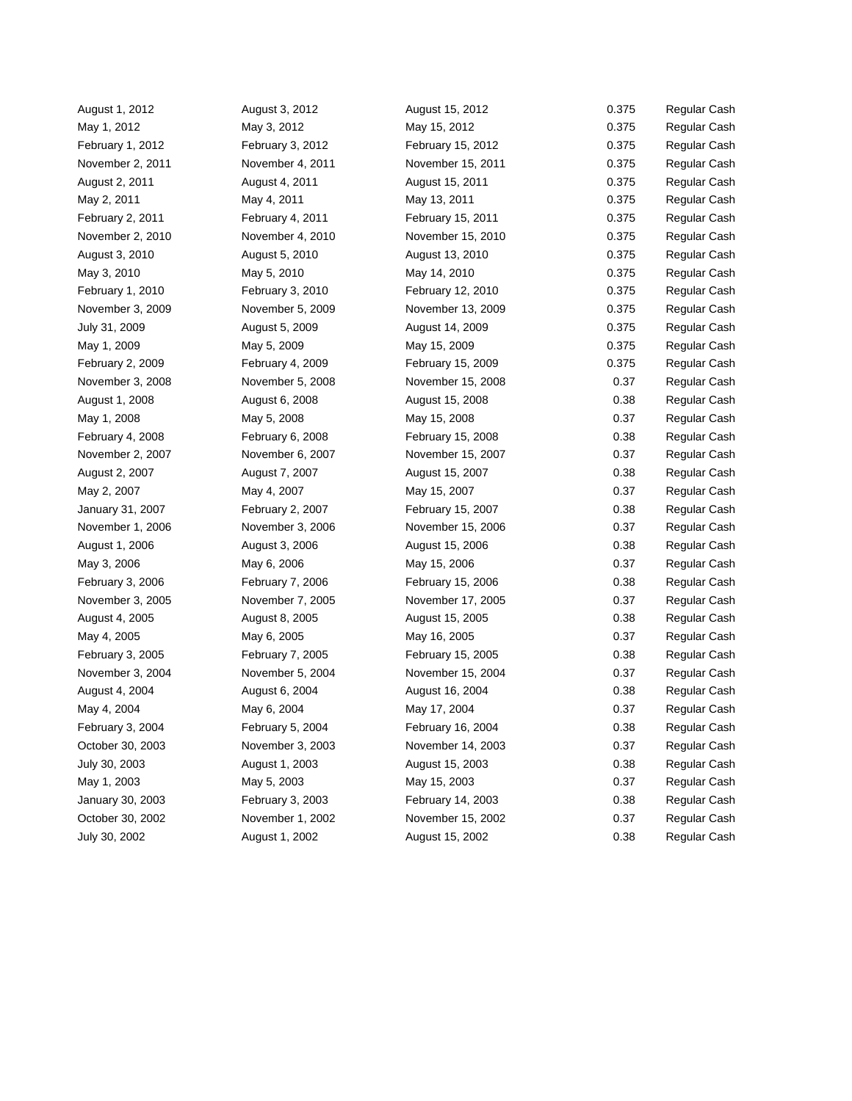| August 1, 2012   | August 3, 2012   | August 15, 2012   | 0.375 | Regular Cash |
|------------------|------------------|-------------------|-------|--------------|
| May 1, 2012      | May 3, 2012      | May 15, 2012      | 0.375 | Regular Cash |
| February 1, 2012 | February 3, 2012 | February 15, 2012 | 0.375 | Regular Cash |
| November 2, 2011 | November 4, 2011 | November 15, 2011 | 0.375 | Regular Cash |
| August 2, 2011   | August 4, 2011   | August 15, 2011   | 0.375 | Regular Cash |
| May 2, 2011      | May 4, 2011      | May 13, 2011      | 0.375 | Regular Cash |
| February 2, 2011 | February 4, 2011 | February 15, 2011 | 0.375 | Regular Cash |
| November 2, 2010 | November 4, 2010 | November 15, 2010 | 0.375 | Regular Cash |
| August 3, 2010   | August 5, 2010   | August 13, 2010   | 0.375 | Regular Cash |
| May 3, 2010      | May 5, 2010      | May 14, 2010      | 0.375 | Regular Cash |
| February 1, 2010 | February 3, 2010 | February 12, 2010 | 0.375 | Regular Cash |
| November 3, 2009 | November 5, 2009 | November 13, 2009 | 0.375 | Regular Cash |
| July 31, 2009    | August 5, 2009   | August 14, 2009   | 0.375 | Regular Cash |
| May 1, 2009      | May 5, 2009      | May 15, 2009      | 0.375 | Regular Cash |
| February 2, 2009 | February 4, 2009 | February 15, 2009 | 0.375 | Regular Cash |
| November 3, 2008 | November 5, 2008 | November 15, 2008 | 0.37  | Regular Cash |
| August 1, 2008   | August 6, 2008   | August 15, 2008   | 0.38  | Regular Cash |
| May 1, 2008      | May 5, 2008      | May 15, 2008      | 0.37  | Regular Cash |
| February 4, 2008 | February 6, 2008 | February 15, 2008 | 0.38  | Regular Cash |
| November 2, 2007 | November 6, 2007 | November 15, 2007 | 0.37  | Regular Cash |
| August 2, 2007   | August 7, 2007   | August 15, 2007   | 0.38  | Regular Cash |
| May 2, 2007      | May 4, 2007      | May 15, 2007      | 0.37  | Regular Cash |
| January 31, 2007 | February 2, 2007 | February 15, 2007 | 0.38  | Regular Cash |
| November 1, 2006 | November 3, 2006 | November 15, 2006 | 0.37  | Regular Cash |
| August 1, 2006   | August 3, 2006   | August 15, 2006   | 0.38  | Regular Cash |
| May 3, 2006      | May 6, 2006      | May 15, 2006      | 0.37  | Regular Cash |
| February 3, 2006 | February 7, 2006 | February 15, 2006 | 0.38  | Regular Cash |
| November 3, 2005 | November 7, 2005 | November 17, 2005 | 0.37  | Regular Cash |
| August 4, 2005   | August 8, 2005   | August 15, 2005   | 0.38  | Regular Cash |
| May 4, 2005      | May 6, 2005      | May 16, 2005      | 0.37  | Regular Cash |
| February 3, 2005 | February 7, 2005 | February 15, 2005 | 0.38  | Regular Cash |
| November 3, 2004 | November 5, 2004 | November 15, 2004 | 0.37  | Regular Cash |
| August 4, 2004   | August 6, 2004   | August 16, 2004   | 0.38  | Regular Cash |
| May 4, 2004      | May 6, 2004      | May 17, 2004      | 0.37  | Regular Cash |
| February 3, 2004 | February 5, 2004 | February 16, 2004 | 0.38  | Regular Cash |
| October 30, 2003 | November 3, 2003 | November 14, 2003 | 0.37  | Regular Cash |
| July 30, 2003    | August 1, 2003   | August 15, 2003   | 0.38  | Regular Cash |
| May 1, 2003      | May 5, 2003      | May 15, 2003      | 0.37  | Regular Cash |
| January 30, 2003 | February 3, 2003 | February 14, 2003 | 0.38  | Regular Cash |
| October 30, 2002 | November 1, 2002 | November 15, 2002 | 0.37  | Regular Cash |
| July 30, 2002    | August 1, 2002   | August 15, 2002   | 0.38  | Regular Cash |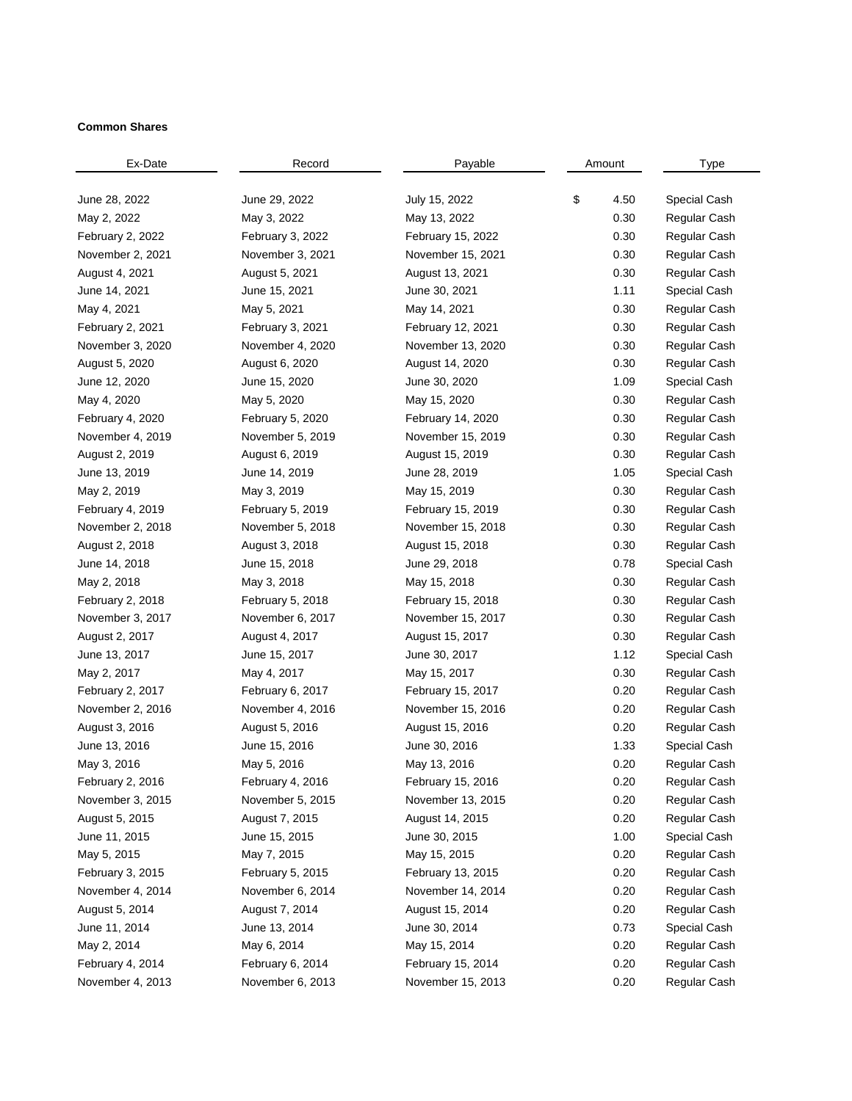## **Common Shares**

| Ex-Date          | Record           | Payable           | Amount |      | Type         |
|------------------|------------------|-------------------|--------|------|--------------|
|                  |                  |                   |        |      |              |
| June 28, 2022    | June 29, 2022    | July 15, 2022     | \$     | 4.50 | Special Cash |
| May 2, 2022      | May 3, 2022      | May 13, 2022      |        | 0.30 | Regular Cash |
| February 2, 2022 | February 3, 2022 | February 15, 2022 |        | 0.30 | Regular Cash |
| November 2, 2021 | November 3, 2021 | November 15, 2021 |        | 0.30 | Regular Cash |
| August 4, 2021   | August 5, 2021   | August 13, 2021   |        | 0.30 | Regular Cash |
| June 14, 2021    | June 15, 2021    | June 30, 2021     |        | 1.11 | Special Cash |
| May 4, 2021      | May 5, 2021      | May 14, 2021      |        | 0.30 | Regular Cash |
| February 2, 2021 | February 3, 2021 | February 12, 2021 |        | 0.30 | Regular Cash |
| November 3, 2020 | November 4, 2020 | November 13, 2020 |        | 0.30 | Regular Cash |
| August 5, 2020   | August 6, 2020   | August 14, 2020   |        | 0.30 | Regular Cash |
| June 12, 2020    | June 15, 2020    | June 30, 2020     |        | 1.09 | Special Cash |
| May 4, 2020      | May 5, 2020      | May 15, 2020      |        | 0.30 | Regular Cash |
| February 4, 2020 | February 5, 2020 | February 14, 2020 |        | 0.30 | Regular Cash |
| November 4, 2019 | November 5, 2019 | November 15, 2019 |        | 0.30 | Regular Cash |
| August 2, 2019   | August 6, 2019   | August 15, 2019   |        | 0.30 | Regular Cash |
| June 13, 2019    | June 14, 2019    | June 28, 2019     |        | 1.05 | Special Cash |
| May 2, 2019      | May 3, 2019      | May 15, 2019      |        | 0.30 | Regular Cash |
| February 4, 2019 | February 5, 2019 | February 15, 2019 |        | 0.30 | Regular Cash |
| November 2, 2018 | November 5, 2018 | November 15, 2018 |        | 0.30 | Regular Cash |
| August 2, 2018   | August 3, 2018   | August 15, 2018   |        | 0.30 | Regular Cash |
| June 14, 2018    | June 15, 2018    | June 29, 2018     |        | 0.78 | Special Cash |
| May 2, 2018      | May 3, 2018      | May 15, 2018      |        | 0.30 | Regular Cash |
| February 2, 2018 | February 5, 2018 | February 15, 2018 |        | 0.30 | Regular Cash |
| November 3, 2017 | November 6, 2017 | November 15, 2017 |        | 0.30 | Regular Cash |
| August 2, 2017   | August 4, 2017   | August 15, 2017   |        | 0.30 | Regular Cash |
| June 13, 2017    | June 15, 2017    | June 30, 2017     |        | 1.12 | Special Cash |
| May 2, 2017      | May 4, 2017      | May 15, 2017      |        | 0.30 | Regular Cash |
| February 2, 2017 | February 6, 2017 | February 15, 2017 |        | 0.20 | Regular Cash |
| November 2, 2016 | November 4, 2016 | November 15, 2016 |        | 0.20 | Regular Cash |
| August 3, 2016   | August 5, 2016   | August 15, 2016   |        | 0.20 | Regular Cash |
| June 13, 2016    | June 15, 2016    | June 30, 2016     |        | 1.33 | Special Cash |
| May 3, 2016      | May 5, 2016      | May 13, 2016      |        | 0.20 | Regular Cash |
| February 2, 2016 | February 4, 2016 | February 15, 2016 |        | 0.20 | Regular Cash |
| November 3, 2015 | November 5, 2015 | November 13, 2015 |        | 0.20 | Regular Cash |
| August 5, 2015   | August 7, 2015   | August 14, 2015   |        | 0.20 | Regular Cash |
| June 11, 2015    | June 15, 2015    | June 30, 2015     |        | 1.00 | Special Cash |
| May 5, 2015      | May 7, 2015      | May 15, 2015      |        | 0.20 | Regular Cash |
| February 3, 2015 | February 5, 2015 | February 13, 2015 |        | 0.20 | Regular Cash |
| November 4, 2014 | November 6, 2014 | November 14, 2014 |        | 0.20 | Regular Cash |
| August 5, 2014   | August 7, 2014   | August 15, 2014   |        | 0.20 | Regular Cash |
| June 11, 2014    | June 13, 2014    | June 30, 2014     |        | 0.73 | Special Cash |
| May 2, 2014      | May 6, 2014      | May 15, 2014      |        | 0.20 | Regular Cash |
| February 4, 2014 | February 6, 2014 | February 15, 2014 |        | 0.20 | Regular Cash |
| November 4, 2013 | November 6, 2013 | November 15, 2013 |        | 0.20 | Regular Cash |
|                  |                  |                   |        |      |              |